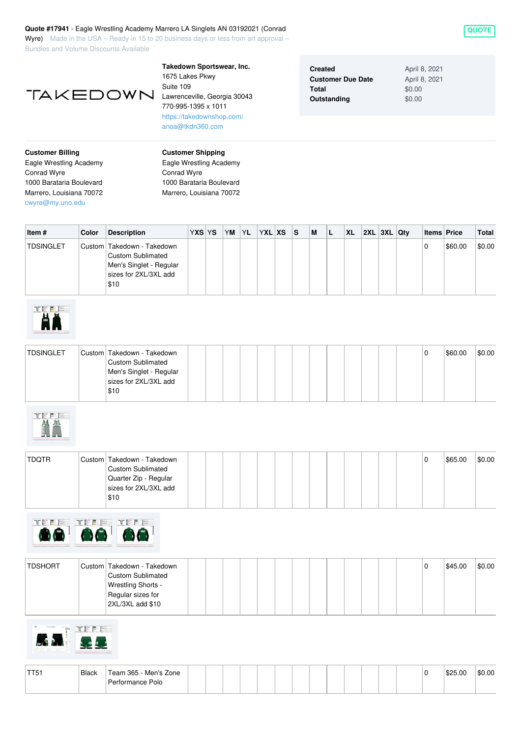## **Quote #17941** - Eagle Wrestling Academy Marrero LA Singlets AN 03192021 (Conrad

Wyre) Made in the USA – Ready in 15 to 20 business days or less from art approval – Bundles and Volume Discounts Available



**Takedown Sportswear, Inc.** 1675 Lakes Pkwy Suite 109 Lawrenceville, Georgia 30043 770-995-1395 x 1011 <https://takedownshop.com/> [anoa@tkdn360.com](mailto:anoa@tkdn360.com)

| <b>Created</b>           | April 8, 2021 |
|--------------------------|---------------|
| <b>Customer Due Date</b> | April 8, 2021 |
| Total                    | \$0.00        |
| Outstanding              | \$0.00        |

**Customer Billing** Eagle Wrestling Academy Conrad Wyre 1000 Barataria Boulevard Marrero, Louisiana 70072 [cwyre@my.uno.edu](mailto:cwyre@my.uno.edu)

**Customer Shipping** Eagle Wrestling Academy Conrad Wyre 1000 Barataria Boulevard Marrero, Louisiana 70072

| Item #           | Color | <b>Description</b>                                                                                                 | YXS YS | YM | <b>YL</b> | YXL XS | 'S | M | <b>XL</b> | 2XL 3XL Qtv |  | <b>Items Price</b> |         | Total  |
|------------------|-------|--------------------------------------------------------------------------------------------------------------------|--------|----|-----------|--------|----|---|-----------|-------------|--|--------------------|---------|--------|
| <b>TDSINGLET</b> |       | Custom Takedown - Takedown<br><b>Custom Sublimated</b><br>Men's Singlet - Regular<br>sizes for 2XL/3XL add<br>\$10 |        |    |           |        |    |   |           |             |  |                    | \$60.00 | \$0.00 |



| <b>TDSINGLET</b> | Custom Takedown - Takedown |  |  |  |  |  |  |  | \$60.00 | \$0.00 |
|------------------|----------------------------|--|--|--|--|--|--|--|---------|--------|
|                  | <b>Custom Sublimated</b>   |  |  |  |  |  |  |  |         |        |
|                  | Men's Singlet - Regular    |  |  |  |  |  |  |  |         |        |
|                  | sizes for 2XL/3XL add      |  |  |  |  |  |  |  |         |        |
|                  | \$10                       |  |  |  |  |  |  |  |         |        |



| TDQTR | Custom Takedown - Takedown |  |  |  |  |  |  |  | \$65.00 | \$0.00 |
|-------|----------------------------|--|--|--|--|--|--|--|---------|--------|
|       | <b>Custom Sublimated</b>   |  |  |  |  |  |  |  |         |        |
|       | Quarter Zip - Regular      |  |  |  |  |  |  |  |         |        |
|       | sizes for 2XL/3XL add      |  |  |  |  |  |  |  |         |        |
|       | \$10                       |  |  |  |  |  |  |  |         |        |



| <b>TDSHORT</b> | Custom Takedown - Takedown |  |  |  |  |  |  |  | \$45.00 | \$0.00 |
|----------------|----------------------------|--|--|--|--|--|--|--|---------|--------|
|                | <b>Custom Sublimated</b>   |  |  |  |  |  |  |  |         |        |
|                | <b>Wrestling Shorts -</b>  |  |  |  |  |  |  |  |         |        |
|                | Regular sizes for          |  |  |  |  |  |  |  |         |        |
|                | 2XL/3XL add \$10           |  |  |  |  |  |  |  |         |        |
|                |                            |  |  |  |  |  |  |  |         |        |



| TT5 | <b>Black</b> | Team 365 - Men's Zone |  |  |  |  |  |  |  | \$25.00 | \$0.00 |
|-----|--------------|-----------------------|--|--|--|--|--|--|--|---------|--------|
|     |              | Performance Polo      |  |  |  |  |  |  |  |         |        |

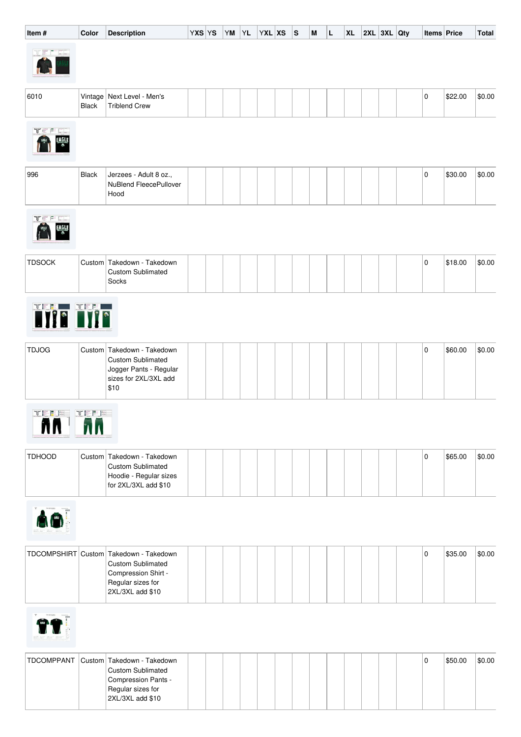| Item#                        | Color        | Description                                                                                                                        | YXS YS | YM | YL | $ YXL XS$ S |  | M | L | <b>XL</b> | 2XL 3XL Qty |  | Items Price |         | Total  |
|------------------------------|--------------|------------------------------------------------------------------------------------------------------------------------------------|--------|----|----|-------------|--|---|---|-----------|-------------|--|-------------|---------|--------|
|                              |              |                                                                                                                                    |        |    |    |             |  |   |   |           |             |  |             |         |        |
| 6010                         | <b>Black</b> | Vintage   Next Level - Men's<br><b>Triblend Crew</b>                                                                               |        |    |    |             |  |   |   |           |             |  | 0           | \$22.00 | \$0.00 |
| p.<br>EAGLE                  |              |                                                                                                                                    |        |    |    |             |  |   |   |           |             |  |             |         |        |
| 996                          | <b>Black</b> | Jerzees - Adult 8 oz.,<br>NuBlend FleecePullover<br>Hood                                                                           |        |    |    |             |  |   |   |           |             |  | 0           | \$30.00 | \$0.00 |
| $\mathbb{P}^1$ [[]]<br>EAGLE |              |                                                                                                                                    |        |    |    |             |  |   |   |           |             |  |             |         |        |
| <b>TDSOCK</b>                |              | Custom Takedown - Takedown<br><b>Custom Sublimated</b><br>Socks                                                                    |        |    |    |             |  |   |   |           |             |  | 0           | \$18.00 | \$0.00 |
| Tije Tije                    |              |                                                                                                                                    |        |    |    |             |  |   |   |           |             |  |             |         |        |
| <b>TDJOG</b>                 |              | Custom   Takedown - Takedown<br><b>Custom Sublimated</b><br>Jogger Pants - Regular<br>sizes for 2XL/3XL add<br>\$10                |        |    |    |             |  |   |   |           |             |  | 0           | \$60.00 | \$0.00 |
| <b>TEEF</b><br>AN AN         | TEFE         |                                                                                                                                    |        |    |    |             |  |   |   |           |             |  |             |         |        |
| <b>TDHOOD</b>                |              | Custom Takedown - Takedown<br><b>Custom Sublimated</b><br>Hoodie - Regular sizes<br>for 2XL/3XL add \$10                           |        |    |    |             |  |   |   |           |             |  | 0           | \$65.00 | \$0.00 |
| AO <sup>1</sup>              |              |                                                                                                                                    |        |    |    |             |  |   |   |           |             |  |             |         |        |
|                              |              | TDCOMPSHIRT Custom Takedown - Takedown<br><b>Custom Sublimated</b><br>Compression Shirt -<br>Regular sizes for<br>2XL/3XL add \$10 |        |    |    |             |  |   |   |           |             |  | 0           | \$35.00 | \$0.00 |
|                              |              |                                                                                                                                    |        |    |    |             |  |   |   |           |             |  |             |         |        |
| TDCOMPPANT                   |              | Custom Takedown - Takedown<br><b>Custom Sublimated</b><br>Compression Pants -<br>Regular sizes for                                 |        |    |    |             |  |   |   |           |             |  | 0           | \$50.00 | \$0.00 |

2XL/3XL add \$10